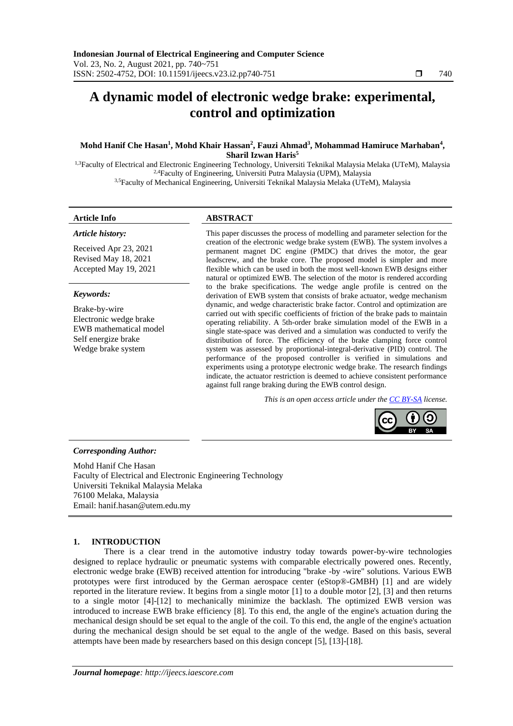# **A dynamic model of electronic wedge brake: experimental, control and optimization**

# **Mohd Hanif Che Hasan<sup>1</sup> , Mohd Khair Hassan<sup>2</sup> , Fauzi Ahmad<sup>3</sup> , Mohammad Hamiruce Marhaban<sup>4</sup> , Sharil Izwan Haris<sup>5</sup>**

<sup>1,3</sup>Faculty of Electrical and Electronic Engineering Technology, Universiti Teknikal Malaysia Melaka (UTeM), Malaysia <sup>2,4</sup>Faculty of Engineering, Universiti Putra Malaysia (UPM), Malaysia 3,5Faculty of Mechanical Engineering, Universiti Teknikal Malaysia Melaka (UTeM), Malaysia

*Article history:*

# **Article Info ABSTRACT**

Received Apr 23, 2021 Revised May 18, 2021 Accepted May 19, 2021

### *Keywords:*

Brake-by-wire Electronic wedge brake EWB mathematical model Self energize brake Wedge brake system

This paper discusses the process of modelling and parameter selection for the creation of the electronic wedge brake system (EWB). The system involves a permanent magnet DC engine (PMDC) that drives the motor, the gear leadscrew, and the brake core. The proposed model is simpler and more flexible which can be used in both the most well-known EWB designs either natural or optimized EWB. The selection of the motor is rendered according to the brake specifications. The wedge angle profile is centred on the derivation of EWB system that consists of brake actuator, wedge mechanism dynamic, and wedge characteristic brake factor. Control and optimization are carried out with specific coefficients of friction of the brake pads to maintain operating reliability. A 5th-order brake simulation model of the EWB in a single state-space was derived and a simulation was conducted to verify the distribution of force. The efficiency of the brake clamping force control system was assessed by proportional-integral-derivative (PID) control. The performance of the proposed controller is verified in simulations and experiments using a prototype electronic wedge brake. The research findings indicate, the actuator restriction is deemed to achieve consistent performance against full range braking during the EWB control design.

*This is an open access article under the [CC BY-SA](https://creativecommons.org/licenses/by-sa/4.0/) license.*



#### *Corresponding Author:*

Mohd Hanif Che Hasan Faculty of Electrical and Electronic Engineering Technology Universiti Teknikal Malaysia Melaka 76100 Melaka, Malaysia Email: hanif.hasan@utem.edu.my

# **1. INTRODUCTION**

There is a clear trend in the automotive industry today towards power-by-wire technologies designed to replace hydraulic or pneumatic systems with comparable electrically powered ones. Recently, electronic wedge brake (EWB) received attention for introducing "brake -by -wire" solutions. Various EWB prototypes were first introduced by the German aerospace center (eStop®-GMBH) [1] and are widely reported in the literature review. It begins from a single motor [1] to a double motor [2], [3] and then returns to a single motor [4]-[12] to mechanically minimize the backlash. The optimized EWB version was introduced to increase EWB brake efficiency [8]. To this end, the angle of the engine's actuation during the mechanical design should be set equal to the angle of the coil. To this end, the angle of the engine's actuation during the mechanical design should be set equal to the angle of the wedge. Based on this basis, several attempts have been made by researchers based on this design concept [5], [13]-[18].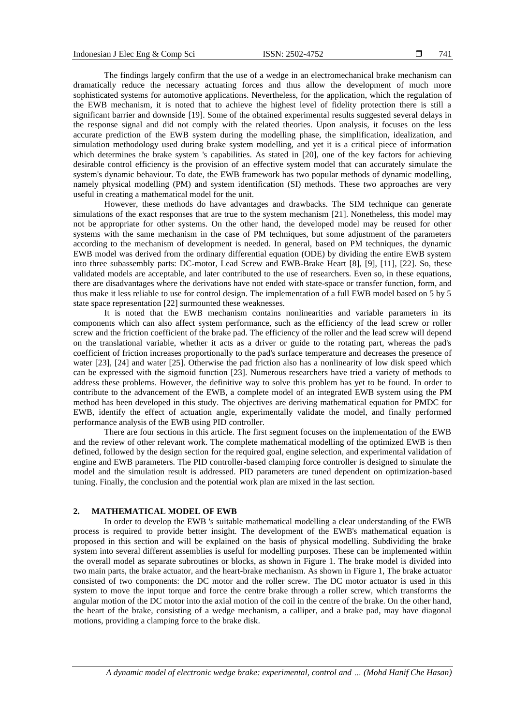The findings largely confirm that the use of a wedge in an electromechanical brake mechanism can dramatically reduce the necessary actuating forces and thus allow the development of much more sophisticated systems for automotive applications. Nevertheless, for the application, which the regulation of the EWB mechanism, it is noted that to achieve the highest level of fidelity protection there is still a significant barrier and downside [19]. Some of the obtained experimental results suggested several delays in the response signal and did not comply with the related theories. Upon analysis, it focuses on the less accurate prediction of the EWB system during the modelling phase, the simplification, idealization, and simulation methodology used during brake system modelling, and yet it is a critical piece of information which determines the brake system 's capabilities. As stated in [20], one of the key factors for achieving desirable control efficiency is the provision of an effective system model that can accurately simulate the system's dynamic behaviour. To date, the EWB framework has two popular methods of dynamic modelling, namely physical modelling (PM) and system identification (SI) methods. These two approaches are very useful in creating a mathematical model for the unit.

However, these methods do have advantages and drawbacks. The SIM technique can generate simulations of the exact responses that are true to the system mechanism [21]. Nonetheless, this model may not be appropriate for other systems. On the other hand, the developed model may be reused for other systems with the same mechanism in the case of PM techniques, but some adjustment of the parameters according to the mechanism of development is needed. In general, based on PM techniques, the dynamic EWB model was derived from the ordinary differential equation (ODE) by dividing the entire EWB system into three subassembly parts: DC-motor, Lead Screw and EWB-Brake Heart [8], [9], [11], [22]. So, these validated models are acceptable, and later contributed to the use of researchers. Even so, in these equations, there are disadvantages where the derivations have not ended with state-space or transfer function, form, and thus make it less reliable to use for control design. The implementation of a full EWB model based on 5 by 5 state space representation [22] surmounted these weaknesses.

It is noted that the EWB mechanism contains nonlinearities and variable parameters in its components which can also affect system performance, such as the efficiency of the lead screw or roller screw and the friction coefficient of the brake pad. The efficiency of the roller and the lead screw will depend on the translational variable, whether it acts as a driver or guide to the rotating part, whereas the pad's coefficient of friction increases proportionally to the pad's surface temperature and decreases the presence of water [23], [24] and water [25]. Otherwise the pad friction also has a nonlinearity of low disk speed which can be expressed with the sigmoid function [23]. Numerous researchers have tried a variety of methods to address these problems. However, the definitive way to solve this problem has yet to be found. In order to contribute to the advancement of the EWB, a complete model of an integrated EWB system using the PM method has been developed in this study. The objectives are deriving mathematical equation for PMDC for EWB, identify the effect of actuation angle, experimentally validate the model, and finally performed performance analysis of the EWB using PID controller.

There are four sections in this article. The first segment focuses on the implementation of the EWB and the review of other relevant work. The complete mathematical modelling of the optimized EWB is then defined, followed by the design section for the required goal, engine selection, and experimental validation of engine and EWB parameters. The PID controller-based clamping force controller is designed to simulate the model and the simulation result is addressed. PID parameters are tuned dependent on optimization-based tuning. Finally, the conclusion and the potential work plan are mixed in the last section.

### **2. MATHEMATICAL MODEL OF EWB**

In order to develop the EWB 's suitable mathematical modelling a clear understanding of the EWB process is required to provide better insight. The development of the EWB's mathematical equation is proposed in this section and will be explained on the basis of physical modelling. Subdividing the brake system into several different assemblies is useful for modelling purposes. These can be implemented within the overall model as separate subroutines or blocks, as shown in Figure 1. The brake model is divided into two main parts, the brake actuator, and the heart-brake mechanism. As shown in Figure 1, The brake actuator consisted of two components: the DC motor and the roller screw. The DC motor actuator is used in this system to move the input torque and force the centre brake through a roller screw, which transforms the angular motion of the DC motor into the axial motion of the coil in the centre of the brake. On the other hand, the heart of the brake, consisting of a wedge mechanism, a calliper, and a brake pad, may have diagonal motions, providing a clamping force to the brake disk.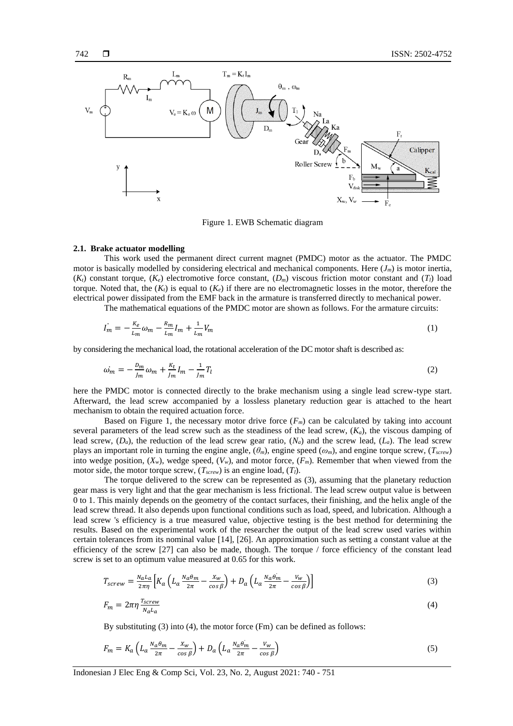

Figure 1. EWB Schematic diagram

#### **2.1. Brake actuator modelling**

This work used the permanent direct current magnet (PMDC) motor as the actuator. The PMDC motor is basically modelled by considering electrical and mechanical components. Here (*Jm*) is motor inertia,  $(K_t)$  constant torque,  $(K_e)$  electromotive force constant,  $(D_m)$  viscous friction motor constant and  $(T_l)$  load torque. Noted that, the  $(K_t)$  is equal to  $(K_e)$  if there are no electromagnetic losses in the motor, therefore the electrical power dissipated from the EMF back in the armature is transferred directly to mechanical power.

The mathematical equations of the PMDC motor are shown as follows. For the armature circuits:

$$
\dot{I_m} = -\frac{K_e}{L_m} \omega_m - \frac{R_m}{L_m} I_m + \frac{1}{L_m} V_m \tag{1}
$$

by considering the mechanical load, the rotational acceleration of the DC motor shaft is described as:

$$
\omega_m = -\frac{D_m}{J_m}\omega_m + \frac{K_t}{J_m}I_m - \frac{1}{J_m}T_l
$$
\n(2)

here the PMDC motor is connected directly to the brake mechanism using a single lead screw-type start. Afterward, the lead screw accompanied by a lossless planetary reduction gear is attached to the heart mechanism to obtain the required actuation force.

Based on Figure 1, the necessary motor drive force  $(F_m)$  can be calculated by taking into account several parameters of the lead screw such as the steadiness of the lead screw, (*Ka*), the viscous damping of lead screw,  $(D_a)$ , the reduction of the lead screw gear ratio,  $(N_a)$  and the screw lead,  $(L_a)$ . The lead screw plays an important role in turning the engine angle, (*θm*), engine speed (*ωm*), and engine torque screw, (*Tscrew*) into wedge position,  $(X_w)$ , wedge speed,  $(V_w)$ , and motor force,  $(F_m)$ . Remember that when viewed from the motor side, the motor torque screw, (*Tscrew*) is an engine load, (*Tl*).

The torque delivered to the screw can be represented as (3), assuming that the planetary reduction gear mass is very light and that the gear mechanism is less frictional. The lead screw output value is between 0 to 1. This mainly depends on the geometry of the contact surfaces, their finishing, and the helix angle of the lead screw thread. It also depends upon functional conditions such as load, speed, and lubrication. Although a lead screw 's efficiency is a true measured value, objective testing is the best method for determining the results. Based on the experimental work of the researcher the output of the lead screw used varies within certain tolerances from its nominal value [14], [26]. An approximation such as setting a constant value at the efficiency of the screw [27] can also be made, though. The torque / force efficiency of the constant lead screw is set to an optimum value measured at 0.65 for this work.

$$
T_{screw} = \frac{N_a L_a}{2\pi\eta} \left[ K_a \left( L_a \frac{N_a \theta_m}{2\pi} - \frac{X_w}{\cos \beta} \right) + D_a \left( L_a \frac{N_a \theta_m}{2\pi} - \frac{V_w}{\cos \beta} \right) \right]
$$
(3)

$$
F_m = 2\pi\eta \frac{r_{screen}}{N_a L_a} \tag{4}
$$

By substituting (3) into (4), the motor force (Fm) can be defined as follows:

$$
F_m = K_a \left( L_a \frac{N_a \theta_m}{2\pi} - \frac{X_w}{\cos \beta} \right) + D_a \left( L_a \frac{N_a \theta_m}{2\pi} - \frac{V_w}{\cos \beta} \right) \tag{5}
$$

Indonesian J Elec Eng & Comp Sci, Vol. 23, No. 2, August 2021: 740 - 751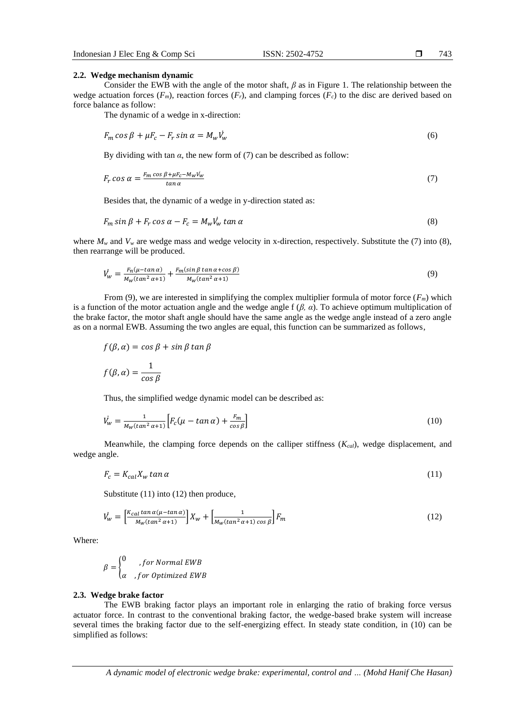#### **2.2. Wedge mechanism dynamic**

Consider the EWB with the angle of the motor shaft, *β* as in Figure 1. The relationship between the wedge actuation forces  $(F_m)$ , reaction forces  $(F_r)$ , and clamping forces  $(F_c)$  to the disc are derived based on force balance as follow:

The dynamic of a wedge in x-direction:

$$
F_m \cos \beta + \mu F_c - F_r \sin \alpha = M_w V_w \tag{6}
$$

By dividing with tan  $\alpha$ , the new form of (7) can be described as follow:

$$
F_r \cos \alpha = \frac{F_m \cos \beta + \mu F_c - M_W V_W}{\tan \alpha} \tag{7}
$$

Besides that, the dynamic of a wedge in y-direction stated as:

$$
F_m \sin \beta + F_r \cos \alpha - F_c = M_w V_w \tan \alpha \tag{8}
$$

where  $M_w$  and  $V_w$  are wedge mass and wedge velocity in x-direction, respectively. Substitute the (7) into (8), then rearrange will be produced.

$$
\dot{V}_w = \frac{F_n(\mu - \tan \alpha)}{M_w(\tan^2 \alpha + 1)} + \frac{F_m(\sin \beta \tan \alpha + \cos \beta)}{M_w(\tan^2 \alpha + 1)}
$$
(9)

From (9), we are interested in simplifying the complex multiplier formula of motor force (*Fm*) which is a function of the motor actuation angle and the wedge angle f (*β, α*). To achieve optimum multiplication of the brake factor, the motor shaft angle should have the same angle as the wedge angle instead of a zero angle as on a normal EWB. Assuming the two angles are equal, this function can be summarized as follows,

$$
f(\beta, \alpha) = \cos \beta + \sin \beta \tan \beta
$$

$$
f(\beta, \alpha) = \frac{1}{\cos \beta}
$$

Thus, the simplified wedge dynamic model can be described as:

$$
\dot{V}_w = \frac{1}{M_w(\tan^2 \alpha + 1)} \Big[ F_c(\mu - \tan \alpha) + \frac{F_m}{\cos \beta} \Big] \tag{10}
$$

Meanwhile, the clamping force depends on the calliper stiffness (*Kcal*), wedge displacement, and wedge angle.

$$
F_c = K_{cal} X_w \tan \alpha \tag{11}
$$

Substitute (11) into (12) then produce,

$$
\dot{V}_w = \left[\frac{K_{cal} \tan \alpha(\mu - \tan \alpha)}{M_w (\tan^2 \alpha + 1)}\right] X_w + \left[\frac{1}{M_w (\tan^2 \alpha + 1) \cos \beta}\right] F_m \tag{12}
$$

Where:

$$
\beta = \begin{cases} 0 & , for Normal EWB \\ \alpha & , for Optimized EWB \end{cases}
$$

#### **2.3. Wedge brake factor**

The EWB braking factor plays an important role in enlarging the ratio of braking force versus actuator force. In contrast to the conventional braking factor, the wedge-based brake system will increase several times the braking factor due to the self-energizing effect. In steady state condition, in (10) can be simplified as follows:

*A dynamic model of electronic wedge brake: experimental, control and … (Mohd Hanif Che Hasan)*

743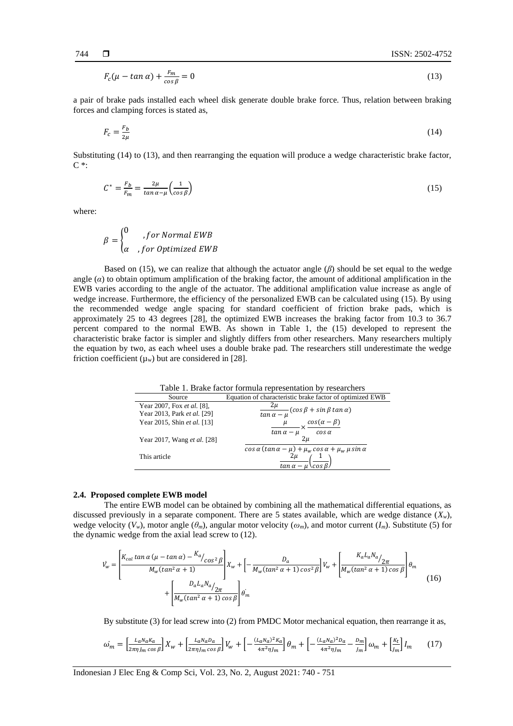$$
F_c(\mu - \tan \alpha) + \frac{F_m}{\cos \beta} = 0 \tag{13}
$$

a pair of brake pads installed each wheel disk generate double brake force. Thus, relation between braking forces and clamping forces is stated as,

$$
F_c = \frac{F_b}{2\mu} \tag{14}
$$

Substituting (14) to (13), and then rearranging the equation will produce a wedge characteristic brake factor, C \*:

$$
C^* = \frac{F_b}{F_m} = \frac{2\mu}{\tan \alpha - \mu} \left(\frac{1}{\cos \beta}\right) \tag{15}
$$

where:

$$
\beta = \begin{cases} 0 & , for Normal EWB \\ \alpha & , for Optimized EWB \end{cases}
$$

Based on (15), we can realize that although the actuator angle (*β*) should be set equal to the wedge angle  $(a)$  to obtain optimum amplification of the braking factor, the amount of additional amplification in the EWB varies according to the angle of the actuator. The additional amplification value increase as angle of wedge increase. Furthermore, the efficiency of the personalized EWB can be calculated using (15). By using the recommended wedge angle spacing for standard coefficient of friction brake pads, which is approximately 25 to 43 degrees [28], the optimized EWB increases the braking factor from 10.3 to 36.7 percent compared to the normal EWB. As shown in Table 1, the (15) developed to represent the characteristic brake factor is simpler and slightly differs from other researchers. Many researchers multiply the equation by two, as each wheel uses a double brake pad. The researchers still underestimate the wedge friction coefficient  $(\mu_w)$  but are considered in [28].

| Table 1. Brake factor formula representation by researchers |                                                                                                               |  |
|-------------------------------------------------------------|---------------------------------------------------------------------------------------------------------------|--|
| Source                                                      | Equation of characteristic brake factor of optimized EWB                                                      |  |
| Year 2007, Fox et al. [8],                                  | $\frac{2\mu}{\tan\alpha-\mu}(\cos\beta+\sin\beta\tan\alpha)$                                                  |  |
| Year 2013, Park et al. [29]                                 |                                                                                                               |  |
| Year 2015, Shin et al. [13]                                 | $\frac{\cos(\alpha-\beta)}{2}$                                                                                |  |
| Year 2017, Wang et al. [28]                                 | $cos\alpha$<br>$tan \alpha - \mu$<br>2 и                                                                      |  |
| This article                                                | $\cos \alpha (\tan \alpha - \mu) + \mu_w \cos \alpha + \mu_w \mu \sin \alpha$<br>cos B.<br>$tan \alpha - \mu$ |  |
|                                                             |                                                                                                               |  |

#### **2.4. Proposed complete EWB model**

The entire EWB model can be obtained by combining all the mathematical differential equations, as discussed previously in a separate component. There are 5 states available, which are wedge distance  $(X_w)$ , wedge velocity  $(V_w)$ , motor angle  $(\theta_m)$ , angular motor velocity  $(\omega_m)$ , and motor current  $(I_m)$ . Substitute (5) for the dynamic wedge from the axial lead screw to (12).

$$
\dot{V}_{w} = \left[\frac{K_{cal} \tan \alpha (\mu - \tan \alpha) - K_{a}}{M_{w} (\tan^{2} \alpha + 1)} \right] X_{w} + \left[ -\frac{D_{a}}{M_{w} (\tan^{2} \alpha + 1) \cos^{2} \beta} \right] V_{w} + \left[ \frac{K_{a} L_{a} N_{a}}{M_{w} (\tan^{2} \alpha + 1) \cos \beta} \right] \theta_{m}
$$
\n
$$
+ \left[ \frac{D_{a} L_{a} N_{a}}{M_{w} (\tan^{2} \alpha + 1) \cos \beta} \right] \theta_{m}
$$
\n(16)

By substitute (3) for lead screw into (2) from PMDC Motor mechanical equation, then rearrange it as,

$$
\omega_m = \left[\frac{L_a N_a K_a}{2\pi\eta J_m \cos \beta}\right] X_w + \left[\frac{L_a N_a D_a}{2\pi\eta J_m \cos \beta}\right] V_w + \left[-\frac{(L_a N_a)^2 K_a}{4\pi^2 \eta J_m}\right] \theta_m + \left[-\frac{(L_a N_a)^2 D_a}{4\pi^2 \eta J_m} - \frac{D_m}{J_m}\right] \omega_m + \left[\frac{K_t}{J_m}\right] I_m \tag{17}
$$

Indonesian J Elec Eng & Comp Sci, Vol. 23, No. 2, August 2021: 740 - 751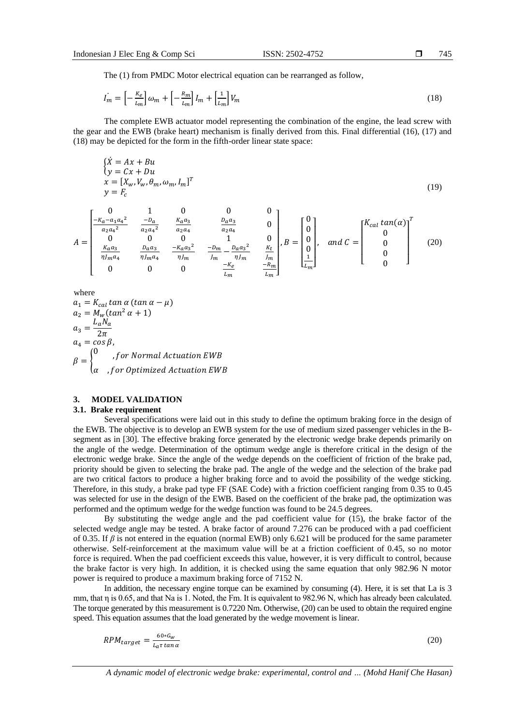The (1) from PMDC Motor electrical equation can be rearranged as follow,

$$
I_m^{\cdot} = \left[ -\frac{\kappa_e}{L_m} \right] \omega_m + \left[ -\frac{R_m}{L_m} \right] I_m + \left[ \frac{1}{L_m} \right] V_m \tag{18}
$$

The complete EWB actuator model representing the combination of the engine, the lead screw with the gear and the EWB (brake heart) mechanism is finally derived from this. Final differential (16), (17) and (18) may be depicted for the form in the fifth-order linear state space:

$$
\begin{aligned}\n\{\dot{X} &= Ax + Bu \\
\{y &= Cx + Du \\
x &= [X_w, V_w, \theta_m, \omega_m, I_m]^T\n\end{aligned}
$$
\n
$$
\begin{aligned}\n\dot{X} &= Ax + Bu \\
\qquad &= [X_w, V_w, \theta_m, \omega_m, I_m]^T\n\end{aligned}
$$
\n(19)

$$
A = \begin{bmatrix} 0 & 1 & 0 & 0 & 0 \\ \frac{-K_a - a_1 a_4^2}{a_2 a_4^2} & \frac{-D_a}{a_2 a_4^2} & \frac{K_a a_3}{a_2 a_4} & \frac{D_a a_3}{a_2 a_4} & 0 \\ 0 & 0 & 0 & 1 & 0 \\ \frac{K_a a_3}{\eta J_m a_4} & \frac{D_a a_3}{\eta J_m a_4} & \frac{-K_a a_3^2}{\eta J_m} & \frac{-D_m}{J_m} - \frac{D_a a_3^2}{\eta J_m} & \frac{K_t}{J_m} \\ 0 & 0 & 0 & \frac{-K_e}{L_m} & \frac{-K_m}{L_m} \end{bmatrix}, B = \begin{bmatrix} 0 \\ 0 \\ 0 \\ \frac{1}{L_m} \end{bmatrix}, \quad and \ C = \begin{bmatrix} K_{ca1} \tan(\alpha) \\ 0 \\ 0 \\ 0 \end{bmatrix} \qquad (20)
$$

where

$$
a_1 = K_{cal} \tan \alpha (\tan \alpha - \mu)
$$
  
\n
$$
a_2 = M_w (\tan^2 \alpha + 1)
$$
  
\n
$$
a_3 = \frac{L_a N_a}{2\pi}
$$
  
\n
$$
a_4 = \cos \beta,
$$
  
\n
$$
\beta = \begin{cases} 0, & \text{for Normal Actuation EWB} \\ a, & \text{for Optimized Actuation EWB} \end{cases}
$$

# **3. MODEL VALIDATION**

#### **3.1. Brake requirement**

Several specifications were laid out in this study to define the optimum braking force in the design of the EWB. The objective is to develop an EWB system for the use of medium sized passenger vehicles in the Bsegment as in [30]. The effective braking force generated by the electronic wedge brake depends primarily on the angle of the wedge. Determination of the optimum wedge angle is therefore critical in the design of the electronic wedge brake. Since the angle of the wedge depends on the coefficient of friction of the brake pad, priority should be given to selecting the brake pad. The angle of the wedge and the selection of the brake pad are two critical factors to produce a higher braking force and to avoid the possibility of the wedge sticking. Therefore, in this study, a brake pad type FF (SAE Code) with a friction coefficient ranging from 0.35 to 0.45 was selected for use in the design of the EWB. Based on the coefficient of the brake pad, the optimization was performed and the optimum wedge for the wedge function was found to be 24.5 degrees.

By substituting the wedge angle and the pad coefficient value for (15), the brake factor of the selected wedge angle may be tested. A brake factor of around 7.276 can be produced with a pad coefficient of 0.35. If *β* is not entered in the equation (normal EWB) only 6.621 will be produced for the same parameter otherwise. Self-reinforcement at the maximum value will be at a friction coefficient of 0.45, so no motor force is required. When the pad coefficient exceeds this value, however, it is very difficult to control, because the brake factor is very high. In addition, it is checked using the same equation that only 982.96 N motor power is required to produce a maximum braking force of 7152 N.

In addition, the necessary engine torque can be examined by consuming (4). Here, it is set that La is 3 mm, that η is 0.65, and that Na is 1. Noted, the Fm. It is equivalent to 982.96 N, which has already been calculated. The torque generated by this measurement is 0.7220 Nm. Otherwise, (20) can be used to obtain the required engine speed. This equation assumes that the load generated by the wedge movement is linear.

$$
RPM_{target} = \frac{60 * G_W}{L_a \tau \tan \alpha} \tag{20}
$$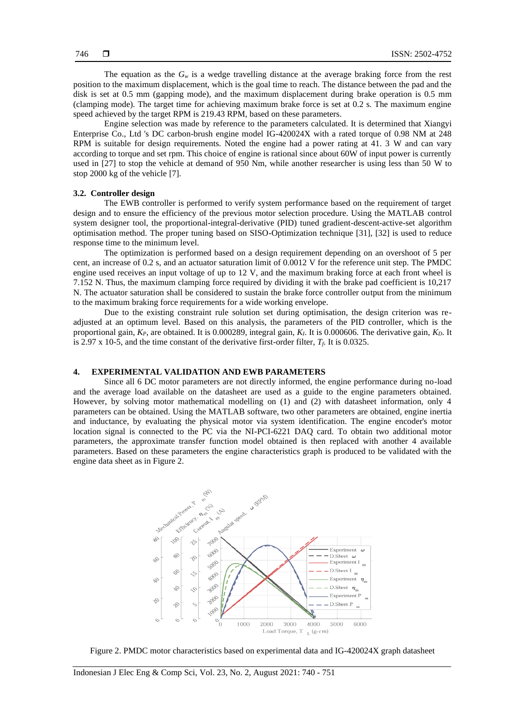The equation as the  $G<sub>w</sub>$  is a wedge travelling distance at the average braking force from the rest position to the maximum displacement, which is the goal time to reach. The distance between the pad and the disk is set at 0.5 mm (gapping mode), and the maximum displacement during brake operation is 0.5 mm (clamping mode). The target time for achieving maximum brake force is set at 0.2 s. The maximum engine speed achieved by the target RPM is 219.43 RPM, based on these parameters.

Engine selection was made by reference to the parameters calculated. It is determined that Xiangyi Enterprise Co., Ltd 's DC carbon-brush engine model IG-420024X with a rated torque of 0.98 NM at 248 RPM is suitable for design requirements. Noted the engine had a power rating at 41. 3 W and can vary according to torque and set rpm. This choice of engine is rational since about 60W of input power is currently used in [27] to stop the vehicle at demand of 950 Nm, while another researcher is using less than 50 W to stop 2000 kg of the vehicle [7].

#### **3.2. Controller design**

The EWB controller is performed to verify system performance based on the requirement of target design and to ensure the efficiency of the previous motor selection procedure. Using the MATLAB control system designer tool, the proportional-integral-derivative (PID) tuned gradient-descent-active-set algorithm optimisation method. The proper tuning based on SISO-Optimization technique [31], [32] is used to reduce response time to the minimum level.

The optimization is performed based on a design requirement depending on an overshoot of 5 per cent, an increase of 0.2 s, and an actuator saturation limit of 0.0012 V for the reference unit step. The PMDC engine used receives an input voltage of up to 12 V, and the maximum braking force at each front wheel is 7.152 N. Thus, the maximum clamping force required by dividing it with the brake pad coefficient is 10,217 N. The actuator saturation shall be considered to sustain the brake force controller output from the minimum to the maximum braking force requirements for a wide working envelope.

Due to the existing constraint rule solution set during optimisation, the design criterion was readjusted at an optimum level. Based on this analysis, the parameters of the PID controller, which is the proportional gain, *KP*, are obtained. It is 0.000289, integral gain, *KI*. It is 0.000606. The derivative gain, *KD*. It is 2.97 x 10-5, and the time constant of the derivative first-order filter,  $T_f$ . It is 0.0325.

# **4. EXPERIMENTAL VALIDATION AND EWB PARAMETERS**

Since all 6 DC motor parameters are not directly informed, the engine performance during no-load and the average load available on the datasheet are used as a guide to the engine parameters obtained. However, by solving motor mathematical modelling on (1) and (2) with datasheet information, only 4 parameters can be obtained. Using the MATLAB software, two other parameters are obtained, engine inertia and inductance, by evaluating the physical motor via system identification. The engine encoder's motor location signal is connected to the PC via the NI-PCI-6221 DAQ card. To obtain two additional motor parameters, the approximate transfer function model obtained is then replaced with another 4 available parameters. Based on these parameters the engine characteristics graph is produced to be validated with the engine data sheet as in Figure 2.



Figure 2. PMDC motor characteristics based on experimental data and IG-420024X graph datasheet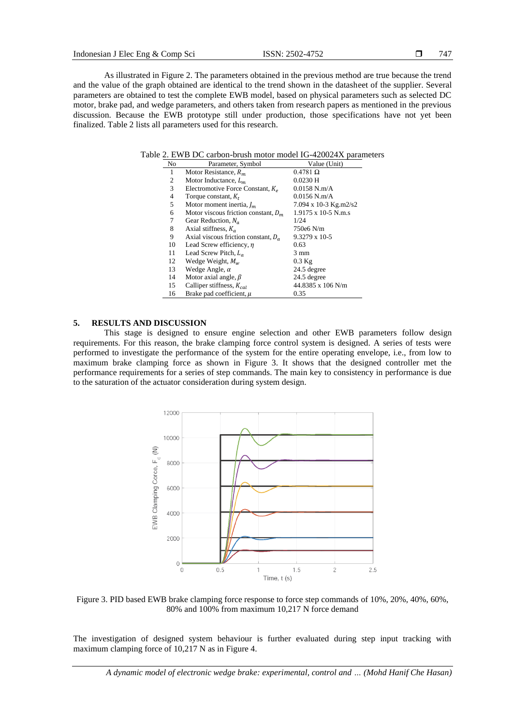As illustrated in Figure 2. The parameters obtained in the previous method are true because the trend and the value of the graph obtained are identical to the trend shown in the datasheet of the supplier. Several parameters are obtained to test the complete EWB model, based on physical parameters such as selected DC motor, brake pad, and wedge parameters, and others taken from research papers as mentioned in the previous discussion. Because the EWB prototype still under production, those specifications have not yet been finalized. Table 2 lists all parameters used for this research.

|--|

| No | Parameter, Symbol                      | Value (Unit)          |
|----|----------------------------------------|-----------------------|
| 1  | Motor Resistance, $R_m$                | $0.4781$ $\Omega$     |
| 2  | Motor Inductance, $L_m$                | $0.0230$ H            |
| 3  | Electromotive Force Constant, $K_e$    | $0.0158$ N.m/A        |
| 4  | Torque constant, $K_t$                 | $0.0156$ N.m/A        |
| 5  | Motor moment inertia, $I_m$            | 7.094 x 10-3 Kg.m2/s2 |
| 6  | Motor viscous friction constant, $D_m$ | 1.9175 x 10-5 N.m.s   |
| 7  | Gear Reduction, $N_a$                  | 1/24                  |
| 8  | Axial stiffness, $K_a$                 | 750e6 N/m             |
| 9  | Axial viscous friction constant, $D_a$ | $9.3279 \times 10-5$  |
| 10 | Lead Screw efficiency, $\eta$          | 0.63                  |
| 11 | Lead Screw Pitch, $L_a$                | $3 \text{ mm}$        |
| 12 | Wedge Weight, $M_w$                    | $0.3$ Kg              |
| 13 | Wedge Angle, $\alpha$                  | 24.5 degree           |
| 14 | Motor axial angle, $\beta$             | 24.5 degree           |
| 15 | Calliper stiffness, $K_{cal}$          | 44.8385 x 106 N/m     |
| 16 | Brake pad coefficient, $\mu$           | 0.35                  |

# **5. RESULTS AND DISCUSSION**

This stage is designed to ensure engine selection and other EWB parameters follow design requirements. For this reason, the brake clamping force control system is designed. A series of tests were performed to investigate the performance of the system for the entire operating envelope, i.e., from low to maximum brake clamping force as shown in Figure 3. It shows that the designed controller met the performance requirements for a series of step commands. The main key to consistency in performance is due to the saturation of the actuator consideration during system design.



Figure 3. PID based EWB brake clamping force response to force step commands of 10%, 20%, 40%, 60%, 80% and 100% from maximum 10,217 N force demand

The investigation of designed system behaviour is further evaluated during step input tracking with maximum clamping force of 10,217 N as in Figure 4.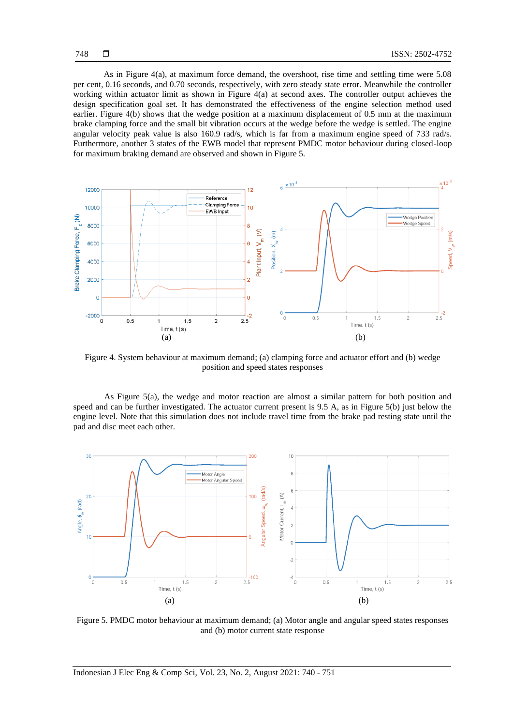As in Figure 4(a), at maximum force demand, the overshoot, rise time and settling time were 5.08 per cent, 0.16 seconds, and 0.70 seconds, respectively, with zero steady state error. Meanwhile the controller working within actuator limit as shown in Figure 4(a) at second axes. The controller output achieves the design specification goal set. It has demonstrated the effectiveness of the engine selection method used earlier. Figure 4(b) shows that the wedge position at a maximum displacement of 0.5 mm at the maximum brake clamping force and the small bit vibration occurs at the wedge before the wedge is settled. The engine angular velocity peak value is also 160.9 rad/s, which is far from a maximum engine speed of 733 rad/s. Furthermore, another 3 states of the EWB model that represent PMDC motor behaviour during closed-loop for maximum braking demand are observed and shown in Figure 5.



Figure 4. System behaviour at maximum demand; (a) clamping force and actuator effort and (b) wedge position and speed states responses

As Figure 5(a), the wedge and motor reaction are almost a similar pattern for both position and speed and can be further investigated. The actuator current present is 9.5 A, as in Figure 5(b) just below the engine level. Note that this simulation does not include travel time from the brake pad resting state until the pad and disc meet each other.



Figure 5. PMDC motor behaviour at maximum demand; (a) Motor angle and angular speed states responses and (b) motor current state response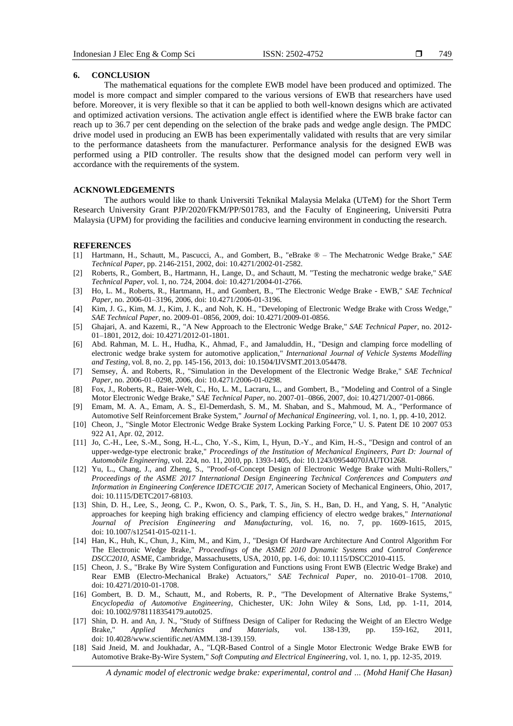#### **6. CONCLUSION**

The mathematical equations for the complete EWB model have been produced and optimized. The model is more compact and simpler compared to the various versions of EWB that researchers have used before. Moreover, it is very flexible so that it can be applied to both well-known designs which are activated and optimized activation versions. The activation angle effect is identified where the EWB brake factor can reach up to 36.7 per cent depending on the selection of the brake pads and wedge angle design. The PMDC drive model used in producing an EWB has been experimentally validated with results that are very similar to the performance datasheets from the manufacturer. Performance analysis for the designed EWB was performed using a PID controller. The results show that the designed model can perform very well in accordance with the requirements of the system.

#### **ACKNOWLEDGEMENTS**

The authors would like to thank Universiti Teknikal Malaysia Melaka (UTeM) for the Short Term Research University Grant PJP/2020/FKM/PP/S01783, and the Faculty of Engineering, Universiti Putra Malaysia (UPM) for providing the facilities and conducive learning environment in conducting the research.

#### **REFERENCES**

- [1] Hartmann, H., Schautt, M., Pascucci, A., and Gombert, B., "eBrake ® The Mechatronic Wedge Brake," *SAE Technical Paper*, pp. 2146-2151, 2002, doi: 10.4271/2002-01-2582.
- [2] Roberts, R., Gombert, B., Hartmann, H., Lange, D., and Schautt, M. "Testing the mechatronic wedge brake," *SAE Technical Paper*, vol. 1, no. 724, 2004. doi: 10.4271/2004-01-2766.
- [3] Ho, L. M., Roberts, R., Hartmann, H., and Gombert, B., "The Electronic Wedge Brake EWB," *SAE Technical Paper*, no. 2006-01–3196, 2006, doi: 10.4271/2006-01-3196.
- [4] Kim, J. G., Kim, M. J., Kim, J. K., and Noh, K. H., "Developing of Electronic Wedge Brake with Cross Wedge," *SAE Technical Paper*, no. 2009-01–0856, 2009, doi: 10.4271/2009-01-0856.
- [5] Ghajari, A. and Kazemi, R., "A New Approach to the Electronic Wedge Brake," *SAE Technical Paper*, no. 2012- 01–1801, 2012, doi: 10.4271/2012-01-1801.
- [6] Abd. Rahman, M. L. H., Hudha, K., Ahmad, F., and Jamaluddin, H., "Design and clamping force modelling of electronic wedge brake system for automotive application," *International Journal of Vehicle Systems Modelling and Testing*, vol. 8, no. 2, pp. 145-156, 2013, doi: 10.1504/IJVSMT.2013.054478.
- [7] Semsey, Á. and Roberts, R., "Simulation in the Development of the Electronic Wedge Brake," *SAE Technical Paper*, no. 2006-01–0298, 2006, doi: 10.4271/2006-01-0298.
- [8] Fox, J., Roberts, R., Baier-Welt, C., Ho, L. M., Lacraru, L., and Gombert, B., "Modeling and Control of a Single Motor Electronic Wedge Brake," *SAE Technical Paper*, no. 2007-01–0866, 2007, doi: 10.4271/2007-01-0866.
- [9] Emam, M. A. A., Emam, A. S., El-Demerdash, S. M., M. Shaban, and S., Mahmoud, M. A., "Performance of Automotive Self Reinforcement Brake System," *Journal of Mechanical Engineering*, vol. 1, no. 1, pp. 4-10, 2012.
- [10] Cheon, J., "Single Motor Electronic Wedge Brake System Locking Parking Force," U. S. Patent DE 10 2007 053 922 A1, Apr. 02, 2012.
- [11] Jo, C.-H., Lee, S.-M., Song, H.-L., Cho, Y.-S., Kim, I., Hyun, D.-Y., and Kim, H.-S., "Design and control of an upper-wedge-type electronic brake," *Proceedings of the Institution of Mechanical Engineers, Part D: Journal of Automobile Engineering*, vol. 224, no. 11, 2010, pp. 1393-1405, doi: 10.1243/09544070JAUTO1268.
- [12] Yu, L., Chang, J., and Zheng, S., "Proof-of-Concept Design of Electronic Wedge Brake with Multi-Rollers," *Proceedings of the ASME 2017 International Design Engineering Technical Conferences and Computers and Information in Engineering Conference IDETC/CIE 2017*, American Society of Mechanical Engineers, Ohio, 2017, doi: 10.1115/DETC2017-68103.
- [13] Shin, D. H., Lee, S., Jeong, C. P., Kwon, O. S., Park, T. S., Jin, S. H., Ban, D. H., and Yang, S. H, "Analytic approaches for keeping high braking efficiency and clamping efficiency of electro wedge brakes," *International Journal of Precision Engineering and Manufacturing*, vol. 16, no. 7, pp. 1609-1615, 2015, doi: 10.1007/s12541-015-0211-1.
- [14] Han, K., Huh, K., Chun, J., Kim, M., and Kim, J., "Design Of Hardware Architecture And Control Algorithm For The Electronic Wedge Brake," *Proceedings of the ASME 2010 Dynamic Systems and Control Conference DSCC2010*, ASME, Cambridge, Massachusetts, USA, 2010, pp. 1-6, doi: 10.1115/DSCC2010-4115.
- [15] Cheon, J. S., "Brake By Wire System Configuration and Functions using Front EWB (Electric Wedge Brake) and Rear EMB (Electro-Mechanical Brake) Actuators," *SAE Technical Paper*, no. 2010-01–1708. 2010, doi: 10.4271/2010-01-1708.
- [16] Gombert, B. D. M., Schautt, M., and Roberts, R. P., "The Development of Alternative Brake Systems," *Encyclopedia of Automotive Engineering*, Chichester, UK: John Wiley & Sons, Ltd, pp. 1-11, 2014, doi: 10.1002/9781118354179.auto025.
- [17] Shin, D. H. and An, J. N., "Study of Stiffness Design of Caliper for Reducing the Weight of an Electro Wedge Brake," *Applied Mechanics and Materials*, vol. 138-139, pp. 159-162, 2011, doi: 10.4028/www.scientific.net/AMM.138-139.159.
- [18] Said Jneid, M. and Joukhadar, A., "LQR-Based Control of a Single Motor Electronic Wedge Brake EWB for Automotive Brake-By-Wire System," *Soft Computing and Electrical Engineering*, vol. 1, no. 1, pp. 12-35, 2019.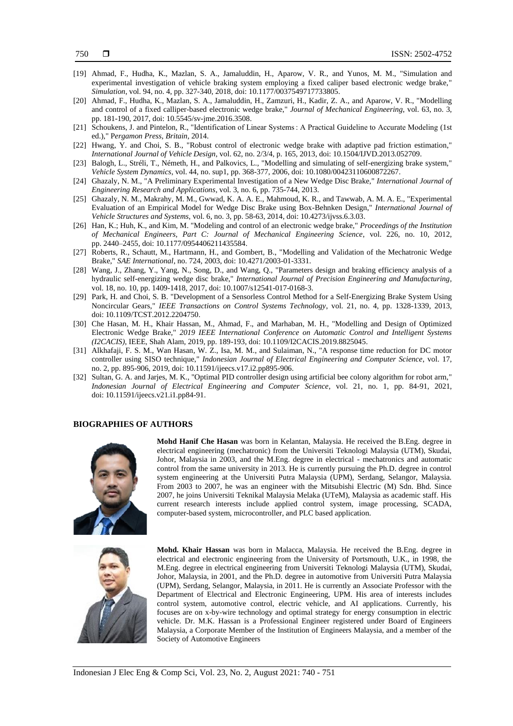- [19] Ahmad, F., Hudha, K., Mazlan, S. A., Jamaluddin, H., Aparow, V. R., and Yunos, M. M., "Simulation and experimental investigation of vehicle braking system employing a fixed caliper based electronic wedge brake," *Simulation*, vol. 94, no. 4, pp. 327-340, 2018, doi: 10.1177/0037549717733805.
- [20] Ahmad, F., Hudha, K., Mazlan, S. A., Jamaluddin, H., Zamzuri, H., Kadir, Z. A., and Aparow, V. R., "Modelling and control of a fixed calliper-based electronic wedge brake," *Journal of Mechanical Engineering*, vol. 63, no. 3, pp. 181-190, 2017, doi: 10.5545/sv-jme.2016.3508.
- [21] Schoukens, J. and Pintelon, R., "Identification of Linear Systems : A Practical Guideline to Accurate Modeling (1st ed.)," P*ergamon Press, Britain*, 2014.
- [22] Hwang, Y. and Choi, S. B., "Robust control of electronic wedge brake with adaptive pad friction estimation," *International Journal of Vehicle Design*, vol. 62, no. 2/3/4, p. 165, 2013, doi: 10.1504/IJVD.2013.052709.
- [23] Balogh, L., Stréli, T., Németh, H., and Palkovics, L., "Modelling and simulating of self-energizing brake system," *Vehicle System Dynamics*, vol. 44, no. sup1, pp. 368-377, 2006, doi: 10.1080/00423110600872267.
- [24] Ghazaly, N. M., "A Preliminary Experimental Investigation of a New Wedge Disc Brake," *International Journal of Engineering Research and Applications*, vol. 3, no. 6, pp. 735-744, 2013.
- [25] Ghazaly, N. M., Makrahy, M. M., Gwwad, K. A. A. E., Mahmoud, K. R., and Tawwab, A. M. A. E., "Experimental Evaluation of an Empirical Model for Wedge Disc Brake using Box-Behnken Design," *International Journal of Vehicle Structures and Systems*, vol. 6, no. 3, pp. 58-63, 2014, doi: 10.4273/ijvss.6.3.03.
- [26] Han, K.; Huh, K., and Kim, M. "Modeling and control of an electronic wedge brake," *Proceedings of the Institution of Mechanical Engineers, Part C: Journal of Mechanical Engineering Science*, vol. 226, no. 10, 2012, pp. 2440–2455, doi: 10.1177/0954406211435584.
- [27] Roberts, R., Schautt, M., Hartmann, H., and Gombert, B., "Modelling and Validation of the Mechatronic Wedge Brake," *SAE International*, no. 724, 2003, doi: 10.4271/2003-01-3331.
- [28] Wang, J., Zhang, Y., Yang, N., Song, D., and Wang, Q., "Parameters design and braking efficiency analysis of a hydraulic self-energizing wedge disc brake," *International Journal of Precision Engineering and Manufacturing*, vol. 18, no. 10, pp. 1409-1418, 2017, doi: 10.1007/s12541-017-0168-3.
- [29] Park, H. and Choi, S. B. "Development of a Sensorless Control Method for a Self-Energizing Brake System Using Noncircular Gears," *IEEE Transactions on Control Systems Technology*, vol. 21, no. 4, pp. 1328-1339, 2013, doi: 10.1109/TCST.2012.2204750.
- [30] Che Hasan, M. H., Khair Hassan, M., Ahmad, F., and Marhaban, M. H., "Modelling and Design of Optimized Electronic Wedge Brake," *2019 IEEE International Conference on Automatic Control and Intelligent Systems (I2CACIS)*, IEEE, Shah Alam, 2019, pp. 189-193, doi: 10.1109/I2CACIS.2019.8825045.
- [31] Alkhafaji, F. S. M., Wan Hasan, W. Z., Isa, M. M., and Sulaiman, N., "A response time reduction for DC motor controller using SISO technique," *Indonesian Journal of Electrical Engineering and Computer Science*, vol. 17, no. 2, pp. 895-906, 2019, doi: 10.11591/ijeecs.v17.i2.pp895-906.
- [32] Sultan, G. A. and Jarjes, M. K., "Optimal PID controller design using artificial bee colony algorithm for robot arm," *Indonesian Journal of Electrical Engineering and Computer Science*, vol. 21, no. 1, pp. 84-91, 2021, doi: 10.11591/ijeecs.v21.i1.pp84-91.

# **BIOGRAPHIES OF AUTHORS**



**Mohd Hanif Che Hasan** was born in Kelantan, Malaysia. He received the B.Eng. degree in electrical engineering (mechatronic) from the Universiti Teknologi Malaysia (UTM), Skudai, Johor, Malaysia in 2003, and the M.Eng. degree in electrical - mechatronics and automatic control from the same university in 2013. He is currently pursuing the Ph.D. degree in control system engineering at the Universiti Putra Malaysia (UPM), Serdang, Selangor, Malaysia. From 2003 to 2007, he was an engineer with the Mitsubishi Electric (M) Sdn. Bhd. Since 2007, he joins Universiti Teknikal Malaysia Melaka (UTeM), Malaysia as academic staff. His current research interests include applied control system, image processing, SCADA, computer-based system, microcontroller, and PLC based application.



**Mohd. Khair Hassan** was born in Malacca, Malaysia. He received the B.Eng. degree in electrical and electronic engineering from the University of Portsmouth, U.K., in 1998, the M.Eng. degree in electrical engineering from Universiti Teknologi Malaysia (UTM), Skudai, Johor, Malaysia, in 2001, and the Ph.D. degree in automotive from Universiti Putra Malaysia (UPM), Serdang, Selangor, Malaysia, in 2011. He is currently an Associate Professor with the Department of Electrical and Electronic Engineering, UPM. His area of interests includes control system, automotive control, electric vehicle, and AI applications. Currently, his focuses are on x-by-wire technology and optimal strategy for energy consumption in electric vehicle. Dr. M.K. Hassan is a Professional Engineer registered under Board of Engineers Malaysia, a Corporate Member of the Institution of Engineers Malaysia, and a member of the Society of Automotive Engineers